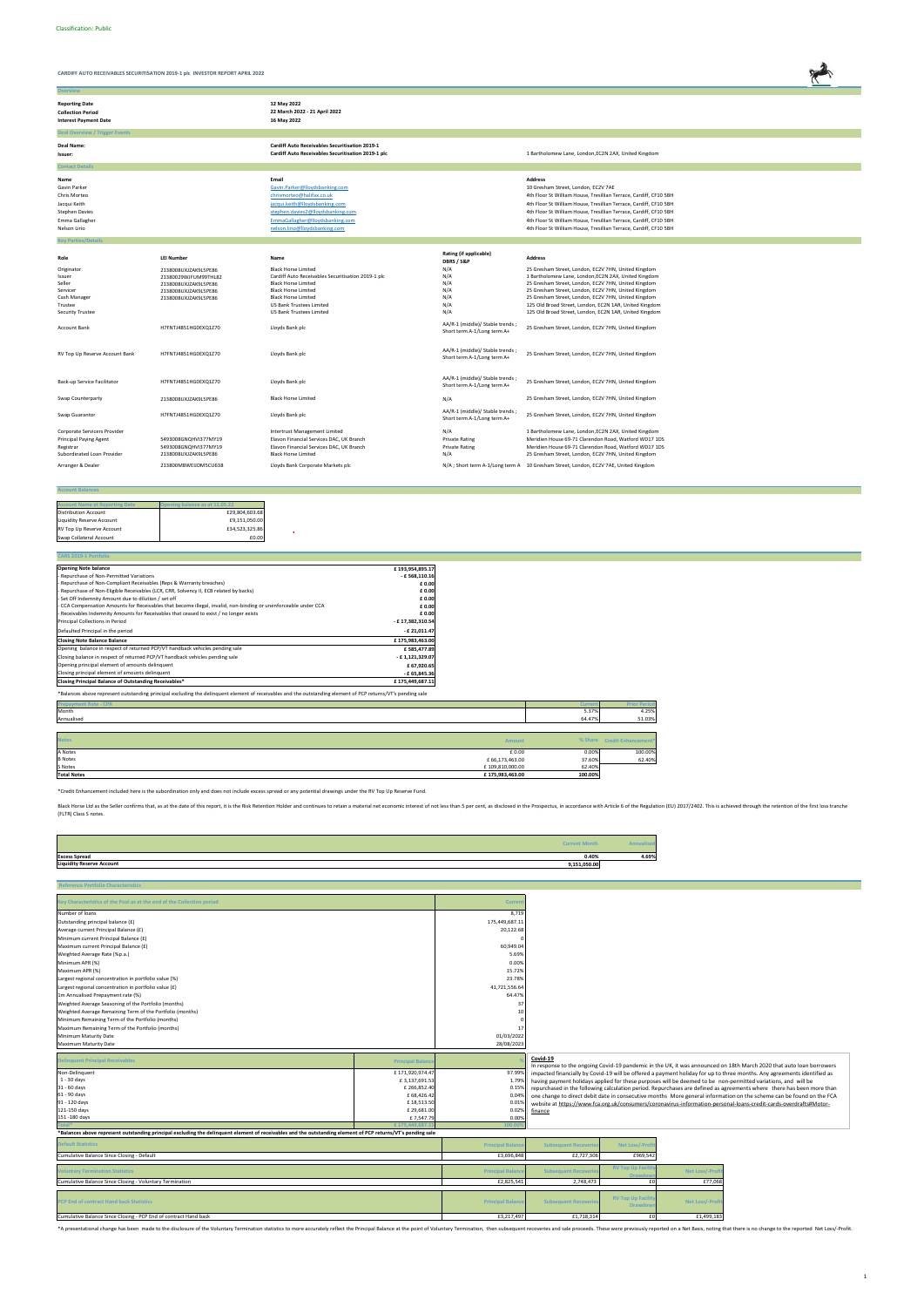

**Overview**

| <b>Reporting Date</b><br><b>Collection Period</b><br><b>Interest Payment Date</b>                               |                                                                                                                      | 12 May 2022<br>22 March 2022 - 21 April 2022<br>16 May 2022                                                                                                                                                                                      |                                                                |                                                                                                                                                                                                                                                                                                                                                                                                                |
|-----------------------------------------------------------------------------------------------------------------|----------------------------------------------------------------------------------------------------------------------|--------------------------------------------------------------------------------------------------------------------------------------------------------------------------------------------------------------------------------------------------|----------------------------------------------------------------|----------------------------------------------------------------------------------------------------------------------------------------------------------------------------------------------------------------------------------------------------------------------------------------------------------------------------------------------------------------------------------------------------------------|
| <b>Deal Overview / Trigger Events</b>                                                                           |                                                                                                                      |                                                                                                                                                                                                                                                  |                                                                |                                                                                                                                                                                                                                                                                                                                                                                                                |
| Deal Name:<br>Issuer:                                                                                           |                                                                                                                      | <b>Cardiff Auto Receivables Securitisation 2019-1</b><br>Cardiff Auto Receivables Securitisation 2019-1 plc                                                                                                                                      |                                                                | 1 Bartholomew Lane, London, EC2N 2AX, United Kingdom                                                                                                                                                                                                                                                                                                                                                           |
| <b>Contact Details</b>                                                                                          |                                                                                                                      |                                                                                                                                                                                                                                                  |                                                                |                                                                                                                                                                                                                                                                                                                                                                                                                |
| Name<br>Gavin Parker<br>Chris Morteo<br>Jacqui Keith<br><b>Stephen Davies</b><br>Emma Gallagher<br>Nelson Lirio |                                                                                                                      | Email<br>Gavin.Parker@lloydsbanking.com<br>chrismorteo@halifax.co.uk<br>jacqui.keith@lloydsbanking.com<br>stephen.davies2@lloydsbanking.com<br>EmmaGallagher@lloydsbanking.com<br>nelson.lirio@lloydsbanking.com                                 |                                                                | <b>Address</b><br>10 Gresham Street, London, EC2V 7AE<br>4th Floor St William House, Tresillian Terrace, Cardiff, CF10 5BH<br>4th Floor St William House, Tresillian Terrace, Cardiff, CF10 5BH<br>4th Floor St William House, Tresillian Terrace, Cardiff, CF10 5BH<br>4th Floor St William House, Tresillian Terrace, Cardiff, CF10 5BH<br>4th Floor St William House, Tresillian Terrace, Cardiff, CF10 5BH |
| <b>Key Parties/Details</b>                                                                                      |                                                                                                                      |                                                                                                                                                                                                                                                  |                                                                |                                                                                                                                                                                                                                                                                                                                                                                                                |
| Role                                                                                                            | <b>LEI Number</b>                                                                                                    | Name                                                                                                                                                                                                                                             | Rating (if applicable)<br>DBRS / S&P                           | <b>Address</b>                                                                                                                                                                                                                                                                                                                                                                                                 |
| Originator<br>Issuer<br>Seller<br>Servicer<br>Cash Manager<br>Trustee<br><b>Security Trustee</b>                | 2138008UXJZAK9L5PE86<br>21380029WJFUM99THL82<br>2138008UXJZAK9L5PE86<br>2138008UXJZAK9L5PE86<br>2138008UXJZAK9L5PE86 | <b>Black Horse Limited</b><br>Cardiff Auto Receivables Securitisation 2019-1 plc<br><b>Black Horse Limited</b><br><b>Black Horse Limited</b><br><b>Black Horse Limited</b><br><b>US Bank Trustees Limited</b><br><b>US Bank Trustees Limited</b> | N/A<br>N/A<br>N/A<br>N/A<br>N/A<br>N/A<br>N/A                  | 25 Gresham Street, London, EC2V 7HN, United Kingdom<br>1 Bartholomew Lane, London, EC2N 2AX, United Kingdom<br>25 Gresham Street, London, EC2V 7HN, United Kingdom<br>25 Gresham Street, London, EC2V 7HN, United Kingdom<br>25 Gresham Street, London, EC2V 7HN, United Kingdom<br>125 Old Broad Street, London, EC2N 1AR, United Kingdom<br>125 Old Broad Street, London, EC2N 1AR, United Kingdom           |
| <b>Account Bank</b>                                                                                             | H7FNTJ4851HG0EXQ1Z70                                                                                                 | Lloyds Bank plc                                                                                                                                                                                                                                  | AA/R-1 (middle)/ Stable trends;<br>Short term A-1/Long term A+ | 25 Gresham Street, London, EC2V 7HN, United Kingdom                                                                                                                                                                                                                                                                                                                                                            |
| RV Top Up Reserve Account Bank                                                                                  | H7FNTJ4851HG0EXQ1Z70                                                                                                 | Lloyds Bank plc                                                                                                                                                                                                                                  | AA/R-1 (middle)/ Stable trends;<br>Short term A-1/Long term A+ | 25 Gresham Street, London, EC2V 7HN, United Kingdom                                                                                                                                                                                                                                                                                                                                                            |
| Back-up Service Facilitator                                                                                     | H7FNTJ4851HG0EXQ1Z70                                                                                                 | Lloyds Bank plc                                                                                                                                                                                                                                  | AA/R-1 (middle)/ Stable trends;<br>Short term A-1/Long term A+ | 25 Gresham Street, London, EC2V 7HN, United Kingdom                                                                                                                                                                                                                                                                                                                                                            |
| Swap Counterparty                                                                                               | 2138008UXJZAK9L5PE86                                                                                                 | <b>Black Horse Limited</b>                                                                                                                                                                                                                       | N/A                                                            | 25 Gresham Street, London, EC2V 7HN, United Kingdom                                                                                                                                                                                                                                                                                                                                                            |
| Swap Guarantor                                                                                                  | H7FNTJ4851HG0EXQ1Z70                                                                                                 | Lloyds Bank plc                                                                                                                                                                                                                                  | AA/R-1 (middle)/ Stable trends;<br>Short term A-1/Long term A+ | 25 Gresham Street, London, EC2V 7HN, United Kingdom                                                                                                                                                                                                                                                                                                                                                            |
| Corporate Servicers Provider<br><b>Principal Paying Agent</b><br>Registrar<br>Subordinated Loan Provider        | 5493008GNQHVI377MY19<br>5493008GNQHVI377MY19<br>2138008UXJZAK9L5PE86                                                 | Intertrust Management Limited<br>Elavon Financial Services DAC, UK Branch<br>Elavon Financial Services DAC, UK Branch<br><b>Black Horse Limited</b>                                                                                              | N/A<br><b>Private Rating</b><br><b>Private Rating</b><br>N/A   | 1 Bartholomew Lane, London, EC2N 2AX, United Kingdom<br>Meridien House 69-71 Clarendon Road, Watford WD17 1DS<br>Meridien House 69-71 Clarendon Road, Watford WD17 1DS<br>25 Gresham Street, London, EC2V 7HN, United Kingdom                                                                                                                                                                                  |
| Arranger & Dealer                                                                                               | 213800MBWEIJDM5CU638                                                                                                 | Lloyds Bank Corporate Markets plc                                                                                                                                                                                                                |                                                                | N/A; Short term A-1/Long term A 10 Gresham Street, London, EC2V 7AE, United Kingdom                                                                                                                                                                                                                                                                                                                            |

#### **Account Balances**

| <b>Account Name at Reporting Date</b> | ening balance as at 11.05.22 |
|---------------------------------------|------------------------------|
| <b>Distribution Account</b>           | £29,804,603.68               |
| Liquidity Reserve Account             | £9,151,050.00                |
| RV Top Up Reserve Account             | £34.523.325.86               |
| Swap Collateral Account               | £0.00                        |

| <b>CARS 2019-1 Portfolio</b>                                                                                                                                 |                  |        |  |
|--------------------------------------------------------------------------------------------------------------------------------------------------------------|------------------|--------|--|
| <b>Opening Note balance</b>                                                                                                                                  | £193,954,895.17  |        |  |
| Repurchase of Non-Permitted Variations                                                                                                                       | $-£568,110.16$   |        |  |
| Repurchase of Non-Compliant Receivables (Reps & Warranty breaches)                                                                                           | £0.00            |        |  |
| Repurchase of Non-Eligible Receivables (LCR, CRR, Solvency II, ECB related by backs)                                                                         | £0.00            |        |  |
| Set Off Indemnity Amount due to dilution / set off                                                                                                           | £0.00            |        |  |
| CCA Compensation Amounts for Receivables that become illegal, invalid, non-binding or unenforceable under CCA                                                | £0.00            |        |  |
| Receivables Indemnity Amounts for Receivables that ceased to exist / no longer exists                                                                        | £0.00            |        |  |
| Principal Collections in Period                                                                                                                              | - £17,382,310.54 |        |  |
| Defaulted Principal in the period                                                                                                                            | $-$ £ 21,011.47  |        |  |
| <b>Closing Note Balance Balance</b>                                                                                                                          | £175,983,463.00  |        |  |
| Opening balance in respect of returned PCP/VT handback vehicles pending sale                                                                                 | £585,477.89      |        |  |
| Closing balance in respect of returned PCP/VT handback vehicles pending sale                                                                                 | - £1,121,329.07  |        |  |
| Opening principal element of amounts delinquent                                                                                                              | £ 67,920.65      |        |  |
| Closing principal element of amounts delinquent                                                                                                              | $-E$ 65,845.36   |        |  |
| Closing Principal Balance of Outstanding Receivables*                                                                                                        | £175,449,687.11  |        |  |
| *Balances above represent outstanding principal excluding the delinquent element of receivables and the outstanding element of PCP returns/VT's pending sale |                  |        |  |
| <b>Prepayment Rate - CPR</b>                                                                                                                                 |                  | Currer |  |
| Month                                                                                                                                                        |                  | 5.37%  |  |
| Annualised                                                                                                                                                   |                  | 64.47% |  |

 $\sim$ 

| <b>Notes</b>       | <b>Amount</b>   |         | % Share Credit Enhancement* |
|--------------------|-----------------|---------|-----------------------------|
| A Notes            | £ 0.00          | 0.00%   | 100.00%                     |
| <b>B</b> Notes     | £66,173,463.00  | 37.60%  | 62.40%                      |
| S Notes            | £109,810,000.00 | 62.40%  |                             |
| <b>Total Notes</b> | £175,983,463.00 | 100.00% |                             |

|                                  | <b>Current Month</b> |       |
|----------------------------------|----------------------|-------|
| <b>Excess Spread</b>             | 0.40%                | 4.69% |
| <b>Liquidity Reserve Account</b> | 9,151,050.00         |       |

| <b>Reference Portfolio Characteristics</b>                                                                                                                   |                          |                         |                             |                          |                        |                                                                                                                         |
|--------------------------------------------------------------------------------------------------------------------------------------------------------------|--------------------------|-------------------------|-----------------------------|--------------------------|------------------------|-------------------------------------------------------------------------------------------------------------------------|
|                                                                                                                                                              |                          |                         |                             |                          |                        |                                                                                                                         |
| Key Characteristics of the Pool as at the end of the Collection period                                                                                       |                          | Current                 |                             |                          |                        |                                                                                                                         |
| Number of loans                                                                                                                                              |                          | 8,719                   |                             |                          |                        |                                                                                                                         |
| Outstanding principal balance (£)                                                                                                                            |                          | 175,449,687.11          |                             |                          |                        |                                                                                                                         |
| Average current Principal Balance (£)                                                                                                                        |                          | 20,122.68               |                             |                          |                        |                                                                                                                         |
| Minimum current Principal Balance (£)                                                                                                                        |                          |                         |                             |                          |                        |                                                                                                                         |
| Maximum current Principal Balance (£)                                                                                                                        |                          | 60,949.04               |                             |                          |                        |                                                                                                                         |
| Weighted Average Rate (%p.a.)                                                                                                                                |                          | 5.69%                   |                             |                          |                        |                                                                                                                         |
| Minimum APR (%)                                                                                                                                              |                          | 0.00%                   |                             |                          |                        |                                                                                                                         |
| Maximum APR (%)                                                                                                                                              |                          | 15.72%                  |                             |                          |                        |                                                                                                                         |
| Largest regional concentration in portfolio value (%)                                                                                                        |                          | 23.78%                  |                             |                          |                        |                                                                                                                         |
| Largest regional concentration in portfolio value (£)                                                                                                        |                          | 41,721,556.64           |                             |                          |                        |                                                                                                                         |
| 1m Annualised Prepayment rate (%)                                                                                                                            |                          | 64.47%                  |                             |                          |                        |                                                                                                                         |
| Weighted Average Seasoning of the Portfolio (months)                                                                                                         |                          | 37                      |                             |                          |                        |                                                                                                                         |
| Weighted Average Remaining Term of the Portfolio (months)                                                                                                    |                          | 10                      |                             |                          |                        |                                                                                                                         |
| Minimum Remaining Term of the Portfolio (months)                                                                                                             |                          |                         |                             |                          |                        |                                                                                                                         |
| Maximum Remaining Term of the Portfolio (months)                                                                                                             |                          | 17                      |                             |                          |                        |                                                                                                                         |
| Minimum Maturity Date                                                                                                                                        |                          | 01/03/2022              |                             |                          |                        |                                                                                                                         |
| Maximum Maturity Date                                                                                                                                        |                          | 28/08/2023              |                             |                          |                        |                                                                                                                         |
|                                                                                                                                                              |                          |                         |                             |                          |                        |                                                                                                                         |
| <b>Delinquent Principal Receivables</b>                                                                                                                      | <b>Principal Balance</b> |                         | Covid-19                    |                          |                        | In response to the ongoing Covid-19 pandemic in the UK, it was announced on 18th March 2020 that auto loan borrowers    |
| Non-Delinquent                                                                                                                                               | £171,920,974.47          | 97.999                  |                             |                          |                        | impacted financially by Covid-19 will be offered a payment holiday for up to three months. Any agreements identified as |
| $1 - 30$ days                                                                                                                                                | £3,137,691.53            | 1.799                   |                             |                          |                        | having payment holidays applied for these purposes will be deemed to be non-permitted variations, and will be           |
| 31 - 60 days                                                                                                                                                 | £ 266,852.40             | 0.159                   |                             |                          |                        | repurchased in the following calculation period. Repurchases are defined as agreements where there has been more than   |
| 61 - 90 days                                                                                                                                                 | £68,426.42               | 0.049                   |                             |                          |                        | one change to direct debit date in consecutive months More general information on the scheme can be found on the FCA    |
| 91 - 120 days                                                                                                                                                | £18,513.50               | 0.019                   |                             |                          |                        | website at https://www.fca.org.uk/consumers/coronavirus-information-personal-loans-credit-cards-overdrafts#Motor-       |
| 121-150 days                                                                                                                                                 | £ 29,681.00              | 0.029                   | finance                     |                          |                        |                                                                                                                         |
| 151 -180 days                                                                                                                                                | £7,547.7                 | 0.009                   |                             |                          |                        |                                                                                                                         |
|                                                                                                                                                              | £175.4                   | 100.0                   |                             |                          |                        |                                                                                                                         |
| *Balances above represent outstanding principal excluding the delinquent element of receivables and the outstanding element of PCP returns/VT's pending sale |                          |                         |                             |                          |                        |                                                                                                                         |
| <b>Default Statistics</b>                                                                                                                                    |                          | <b>Principal Baland</b> | <b>Subsequent Recoverie</b> | <b>Net Loss/-Prof</b>    |                        |                                                                                                                         |
| Cumulative Balance Since Closing - Default                                                                                                                   |                          | £3,696,848              | £2,727,306                  | £969,542                 |                        |                                                                                                                         |
| <b>Voluntary Termination Statistics</b>                                                                                                                      |                          | <b>Principal Baland</b> | <b>Subsequent Recoverie</b> | <b>RV Top Up Facili</b>  | <b>Net Loss/-Pro</b>   |                                                                                                                         |
| Cumulative Balance Since Closing - Voluntary Termination                                                                                                     |                          | £2,825,541              | 2,748,473                   | <b>Drawdoy</b><br>f      | £77,068                |                                                                                                                         |
|                                                                                                                                                              |                          |                         |                             |                          |                        |                                                                                                                         |
| PCP End of contract Hand back Statistics                                                                                                                     |                          |                         |                             | <b>RV Top Up Facilit</b> |                        |                                                                                                                         |
|                                                                                                                                                              |                          | <b>Principal Balanc</b> | <b>Subsequent Recoverie</b> |                          | <b>Net Loss/-Profi</b> |                                                                                                                         |
|                                                                                                                                                              |                          |                         |                             | <b>Drawdow</b>           |                        |                                                                                                                         |

\*A presentational change has been made to the disclosure of the Voluntary Termination statistics to more accurately reflect the Principal Balance at the point of Voluntary Termination, then subsequent recoveries and sale p

\*Credit Enhancement included here is the subordination only and does not include excess spread or any potential drawings under the RV Top Up Reserve Fund.

Black Horse Ltd as the Seller confirms that, as at the date of this report, it is the Risk Retention Holder and continues to retain a material net economic interest of not less than 5 per cent, as disclosed in the Prospect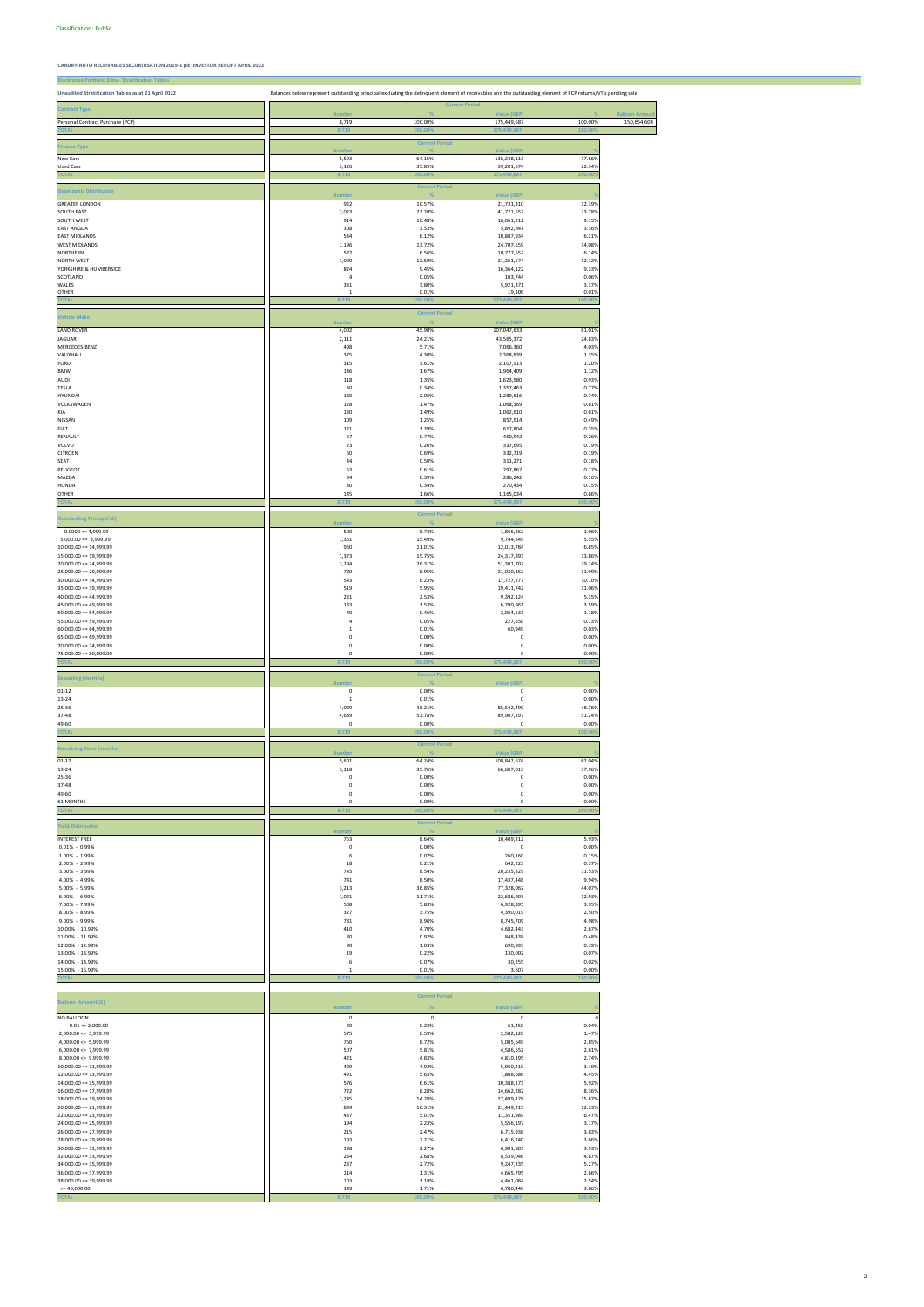| <b>Blackhorse Portfolio Data - Stratification Tables</b> |                                                                                                                                                             |                       |                           |                  |                       |
|----------------------------------------------------------|-------------------------------------------------------------------------------------------------------------------------------------------------------------|-----------------------|---------------------------|------------------|-----------------------|
| Unaudited Stratification Tables as at 21 April 2022      | Balances below represent outstanding principal excluding the delinquent element of receivables and the outstanding element of PCP returns/VT's pending sale |                       |                           |                  |                       |
|                                                          |                                                                                                                                                             |                       |                           |                  |                       |
| <b>Contract Type</b>                                     | <b>Number</b>                                                                                                                                               | <b>Current Period</b> | Value (GBP)               |                  | <b>Balloon Amount</b> |
| Personal Contract Purchase (PCP)                         | 8,719                                                                                                                                                       | 100.00%               | 175,449,687               | 100.00%          | 150,654,604           |
|                                                          | 8,719                                                                                                                                                       | 100.00                | 175,449,68                | 100.00           |                       |
| <b>Finance Type</b>                                      |                                                                                                                                                             | <b>Current Period</b> |                           |                  |                       |
|                                                          | <b>Numbe</b>                                                                                                                                                |                       | <b>Value (GBP)</b>        |                  |                       |
| New Cars<br><b>Used Cars</b>                             | 5,593<br>3,126                                                                                                                                              | 64.15%<br>35.85%      | 136,248,113<br>39,201,574 | 77.66%<br>22.34% |                       |
|                                                          | <b>B,719</b>                                                                                                                                                | 100.00                | 175,449,6                 | 100.0            |                       |
|                                                          |                                                                                                                                                             | <b>Current Period</b> |                           |                  |                       |
| <b>Geographic Distribution</b>                           | <b>Number</b>                                                                                                                                               |                       | Value (GBP)               |                  |                       |
| <b>GREATER LONDON</b>                                    | 922                                                                                                                                                         | 10.57%                | 21,731,310                | 12.39%           |                       |
| SOUTH EAST<br>SOUTH WEST                                 | 2,023<br>914                                                                                                                                                | 23.20%<br>10.48%      | 41,721,557                | 23.78%<br>9.15%  |                       |
| <b>EAST ANGLIA</b>                                       | 308                                                                                                                                                         | 3.53%                 | 16,061,212<br>5,892,641   | 3.36%            |                       |
| <b>EAST MIDLANDS</b>                                     | 534                                                                                                                                                         | 6.12%                 | 10,887,934                | 6.21%            |                       |
| <b>WEST MIDLANDS</b>                                     | 1,196                                                                                                                                                       | 13.72%                | 24,707,559                | 14.08%           |                       |
| <b>NORTHERN</b><br><b>NORTH WEST</b>                     | 572<br>1,090                                                                                                                                                | 6.56%<br>12.50%       | 10,777,557<br>21,261,574  | 6.14%<br>12.12%  |                       |
| YORKSHIRE & HUMBERSIDE                                   | 824                                                                                                                                                         | 9.45%                 | 16,364,122                | 9.33%            |                       |
| SCOTLAND                                                 | $\overline{4}$                                                                                                                                              | 0.05%                 | 103,744                   | 0.06%            |                       |
| WALES<br>OTHER                                           | 331<br>$\mathbf{1}$                                                                                                                                         | 3.80%<br>0.01%        | 5,921,371<br>19,106       | 3.37%<br>0.01%   |                       |
|                                                          | 8.719                                                                                                                                                       | 100.00                | 175,449,                  | 100 <sub>0</sub> |                       |
|                                                          |                                                                                                                                                             | <b>Current Period</b> |                           |                  |                       |
| <b>Vehicle Make</b>                                      | <b>Numbe</b>                                                                                                                                                |                       | Value (GBP)               |                  |                       |
| <b>LAND ROVER</b>                                        | 4,002                                                                                                                                                       | 45.90%                | 107,047,633               | 61.01%           |                       |
| JAGUAR                                                   | 2,111                                                                                                                                                       | 24.21%                | 43,565,372                | 24.83%           |                       |
| MERCEDES-BENZ                                            | 498                                                                                                                                                         | 5.71%                 | 7,066,360                 | 4.03%            |                       |
| VAUXHALL<br>FORD                                         | 375<br>315                                                                                                                                                  | 4.30%<br>3.61%        | 2,368,839<br>2,107,913    | 1.35%<br>1.20%   |                       |
| <b>BMW</b>                                               | 146                                                                                                                                                         | 1.67%                 | 1,964,409                 | 1.12%            |                       |
| AUDI                                                     | 118                                                                                                                                                         | 1.35%                 | 1,623,580                 | 0.93%            |                       |
| TESLA<br><b>HYUNDAI</b>                                  | 30<br>180                                                                                                                                                   | 0.34%<br>2.06%        | 1,357,463                 | 0.77%<br>0.74%   |                       |
| VOLKSWAGEN                                               | 128                                                                                                                                                         | 1.47%                 | 1,289,616<br>1,068,369    | 0.61%            |                       |
| KIA                                                      | 130                                                                                                                                                         | 1.49%                 | 1,062,610                 | 0.61%            |                       |
| NISSAN                                                   | 109                                                                                                                                                         | 1.25%                 | 857,514                   | 0.49%            |                       |
| FIAT                                                     | 121                                                                                                                                                         | 1.39%                 | 617,804                   | 0.35%            |                       |
| RENAULT<br>VOLVO                                         | 67<br>23                                                                                                                                                    | 0.77%<br>0.26%        | 450,942<br>337,695        | 0.26%<br>0.19%   |                       |
| <b>CITROEN</b>                                           | 60                                                                                                                                                          | 0.69%                 | 332,719                   | 0.19%            |                       |
| SEAT                                                     | 44                                                                                                                                                          | 0.50%                 | 311,271                   | 0.18%            |                       |
| PEUGEOT                                                  | 53                                                                                                                                                          | 0.61%                 | 297,867                   | 0.17%            |                       |
| MAZDA<br>HONDA                                           | 34<br>30                                                                                                                                                    | 0.39%<br>0.34%        | 286,242<br>270,434        | 0.16%<br>0.15%   |                       |
| OTHER                                                    | 145                                                                                                                                                         | 1.66%                 | 1,165,034                 | 0.66%            |                       |
| <b>TOTAL</b>                                             | 3,719                                                                                                                                                       | 100.00%               | 175,449,687               | 00.0             |                       |
| <b>Outstanding Principal (£)</b>                         |                                                                                                                                                             | <b>Current Period</b> |                           |                  |                       |
|                                                          | <b>Numbe</b>                                                                                                                                                |                       | <b>Value (GBP)</b>        |                  |                       |
| $0.0000 \le 4,999.99$<br>$5,000.00 \leq 9,999.99$        | 500<br>1,351                                                                                                                                                | 5.73%<br>15.49%       | 1,866,262<br>9,744,549    | 1.06%<br>5.55%   |                       |
| $10,000.00 \leq 14,999.99$                               | 960                                                                                                                                                         | 11.01%                | 12,013,784                | 6.85%            |                       |
| 15,000.00 <= 19,999.99                                   | 1,373                                                                                                                                                       | 15.75%                | 24,317,893                | 13.86%           |                       |
| $20.000.00 \le 24.999.99$                                | 2,294                                                                                                                                                       | 26.31%                | 51,301,702                | 29.24%           |                       |
| $25,000.00 \le 29,999.99$<br>$30,000.00 \leq 34,999.99$  | 780<br>543                                                                                                                                                  | 8.95%<br>6.23%        | 21,030,362<br>17,727,277  | 11.99%<br>10.10% |                       |
| $35,000.00 \leq 39,999.99$                               | 519                                                                                                                                                         | 5.95%                 | 19,411,742                | 11.06%           |                       |
| $40,000.00 \le 44,999.99$                                | 221                                                                                                                                                         | 2.53%                 | 9,392,124                 | 5.35%            |                       |
| $45,000.00 \le 49,999.99$<br>$50,000.00 \le 54,999.99$   | 133                                                                                                                                                         | 1.53%                 | 6,290,961                 | 3.59%<br>1.18%   |                       |
| $55,000.00 \le 59,999.99$                                | 40<br>4                                                                                                                                                     | 0.46%<br>0.05%        | 2,064,533<br>227,550      | 0.13%            |                       |
| $60,000.00 \le 64,999.99$                                | $1\,$                                                                                                                                                       | 0.01%                 | 60,949                    | 0.03%            |                       |
| $65,000.00 \le 69,999.99$                                | 0                                                                                                                                                           | 0.00%                 | 0                         | 0.00%            |                       |
| $70,000.00 \le 74,999.99$<br>$75,000.00 \le 80,000.00$   | $\mathsf 0$<br>$\mathsf 0$                                                                                                                                  | 0.00%<br>0.00%        | 0<br>0                    | 0.00%<br>0.00%   |                       |
|                                                          | 8.719                                                                                                                                                       | 100.009               | 175,449,687               | 100.00           |                       |
|                                                          |                                                                                                                                                             | <b>Current Period</b> |                           |                  |                       |
| <b>Seasoning (months)</b>                                | <b>Number</b>                                                                                                                                               |                       | Value (GBP)               |                  |                       |
| $01 - 12$                                                | $\pmb{0}$                                                                                                                                                   | 0.00%                 | $\pmb{0}$                 | 0.00%            |                       |
| $13 - 24$                                                | $\mathbf 1$                                                                                                                                                 | 0.01%                 | 0                         | 0.00%            |                       |
| 25-36<br>37-48                                           | 4,029<br>4,689                                                                                                                                              | 46.21%<br>53.78%      | 85,542,490<br>89,907,197  | 48.76%<br>51.24% |                       |
| 49-60                                                    | $\mathsf 0$                                                                                                                                                 | 0.00%                 | 0                         | 0.00%            |                       |
| <b>TOTAL</b>                                             | 8,719                                                                                                                                                       | 100.009               | 175,449,687               | 100.00           |                       |
| <b>Remaining Term (months)</b>                           |                                                                                                                                                             | <b>Current Period</b> |                           |                  |                       |
|                                                          | <b>Numbe</b>                                                                                                                                                |                       | <b>Value (GBP)</b>        |                  |                       |
| $01 - 12$<br>13-24                                       | 5,601<br>3,118                                                                                                                                              | 64.24%<br>35.76%      | 108,842,674<br>66,607,013 | 62.04%<br>37.96% |                       |
| 25-36                                                    | $\pmb{0}$                                                                                                                                                   | 0.00%                 | 0                         | 0.00%            |                       |
| 37-48                                                    | $\mathsf 0$                                                                                                                                                 | 0.00%                 | 0                         | 0.00%            |                       |
| 49-60<br>61 MONTHS                                       | 0<br>$\mathsf 0$                                                                                                                                            | 0.00%<br>0.00%        | 0<br>0                    | 0.00%<br>0.00%   |                       |
| <b>TOTA</b>                                              | 8.719                                                                                                                                                       | 100.00                | 175,449                   | 00.0             |                       |
|                                                          |                                                                                                                                                             | <b>Current Period</b> |                           |                  |                       |
| <b>Yield Distribution</b>                                | <b>Numbe</b>                                                                                                                                                |                       | Value (GBP)               |                  |                       |
| <b>INTEREST FREE</b>                                     | 753                                                                                                                                                         | 8.64%                 | 10,409,212                | 5.93%            |                       |
| $0.01\% - 0.99\%$                                        | $\pmb{0}$                                                                                                                                                   | 0.00%                 | 0                         | 0.00%            |                       |
| 1.00% - 1.99%<br>2.00% - 2.99%                           | 6<br>18                                                                                                                                                     | 0.07%<br>0.21%        | 260,160<br>642,223        | 0.15%<br>0.37%   |                       |
| 3.00% - 3.99%                                            | 745                                                                                                                                                         | 8.54%                 | 20,235,329                | 11.53%           |                       |
| 4.00% - 4.99%                                            | 741                                                                                                                                                         | 8.50%                 | 17,437,448                | 9.94%            |                       |
| 5.00% - 5.99%                                            | 3,213                                                                                                                                                       | 36.85%                | 77,328,062                | 44.07%<br>12.93% |                       |
| 6.00% - 6.99%<br>7.00% - 7.99%                           | 1,021<br>508                                                                                                                                                | 11.71%<br>5.83%       | 22,686,993<br>6,928,895   | 3.95%            |                       |
| 8.00% - 8.99%                                            | 327                                                                                                                                                         | 3.75%                 | 4,390,019                 | 2.50%            |                       |
| 9.00% - 9.99%                                            | 781                                                                                                                                                         | 8.96%                 | 8,745,709                 | 4.98%            |                       |
| 10.00% - 10.99%<br>11.00% - 11.99%                       | 410                                                                                                                                                         | 4.70%<br>0.92%        | 4,682,443                 | 2.67%<br>0.48%   |                       |
| 12.00% - 12.99%                                          | 80<br>90                                                                                                                                                    | 1.03%                 | 848,438<br>690,893        | 0.39%            |                       |
| 13.00% - 13.99%                                          | 19                                                                                                                                                          | 0.22%                 | 130,002                   | 0.07%            |                       |
| 14.00% - 14.99%                                          | 6                                                                                                                                                           | 0.07%                 | 30,255                    | 0.02%            |                       |
| 15.00% - 15.99%                                          | $\mathbf{1}$                                                                                                                                                | 0.01%                 | 3,607                     | 0.00%            |                       |

**TOTAL 8,719 100.00% 175,449,687 100.00%**

| <b>Balloon Amount (£)</b>  | <b>Number</b> | %           | Value (GBP) |             |
|----------------------------|---------------|-------------|-------------|-------------|
| NO BALLOON                 | $^{\circ}$    | $\mathbf 0$ | 0           | $\mathbf 0$ |
| $0.01 \le 2,000.00$        | 20            | 0.23%       | 61,450      | 0.04%       |
| $2.000.00 \leq 3.999.99$   | 575           | 6.59%       | 2,582,126   | 1.47%       |
| $4,000.00 \leq 5,999.99$   | 760           | 8.72%       | 5,005,649   | 2.85%       |
| $6,000.00 \leq 7,999.99$   | 507           | 5.81%       | 4,586,552   | 2.61%       |
| $8,000.00 \leq 9,999.99$   | 421           | 4.83%       | 4,810,195   | 2.74%       |
| $10,000.00 \leq 11,999.99$ | 429           | 4.92%       | 5,960,410   | 3.40%       |
| $12,000.00 \leq 13,999.99$ | 491           | 5.63%       | 7,808,686   | 4.45%       |
| $14,000.00 \leq 15,999.99$ | 576           | 6.61%       | 10,388,173  | 5.92%       |
| $16,000.00 \leq 17,999.99$ | 722           | 8.28%       | 14,662,282  | 8.36%       |
| $18,000.00 \leq 19,999.99$ | 1,245         | 14.28%      | 27,499,178  | 15.67%      |
| $20,000.00 \le 21,999.99$  | 899           | 10.31%      | 21,449,215  | 12.23%      |
| $22,000.00 \le 23,999.99$  | 437           | 5.01%       | 11,351,989  | 6.47%       |
| $24,000.00 \le 25,999.99$  | 194           | 2.23%       | 5,556,197   | 3.17%       |
| $26,000.00 \le 27,999.99$  | 215           | 2.47%       | 6,715,938   | 3.83%       |
| $28,000.00 \le 29,999.99$  | 193           | 2.21%       | 6,416,240   | 3.66%       |
| $30,000.00 \leq 31,999.99$ | 198           | 2.27%       | 6,901,803   | 3.93%       |
| $32,000.00 \leq 33,999.99$ | 234           | 2.68%       | 8,539,046   | 4.87%       |
| 34,000.00 <= 35,999.99     | 237           | 2.72%       | 9,247,235   | 5.27%       |
| $36,000.00 \leq 37,999.99$ | 114           | 1.31%       | 4,665,795   | 2.66%       |
| 38,000.00 <= 39,999.99     | 103           | 1.18%       | 4,461,084   | 2.54%       |
| $>= 40,000.00$             | 149           | 1.71%       | 6,780,446   | 3.86%       |
| <b>TOTAL</b>               | 8,719         | 100.00%     | 175,449,687 | 100.00%     |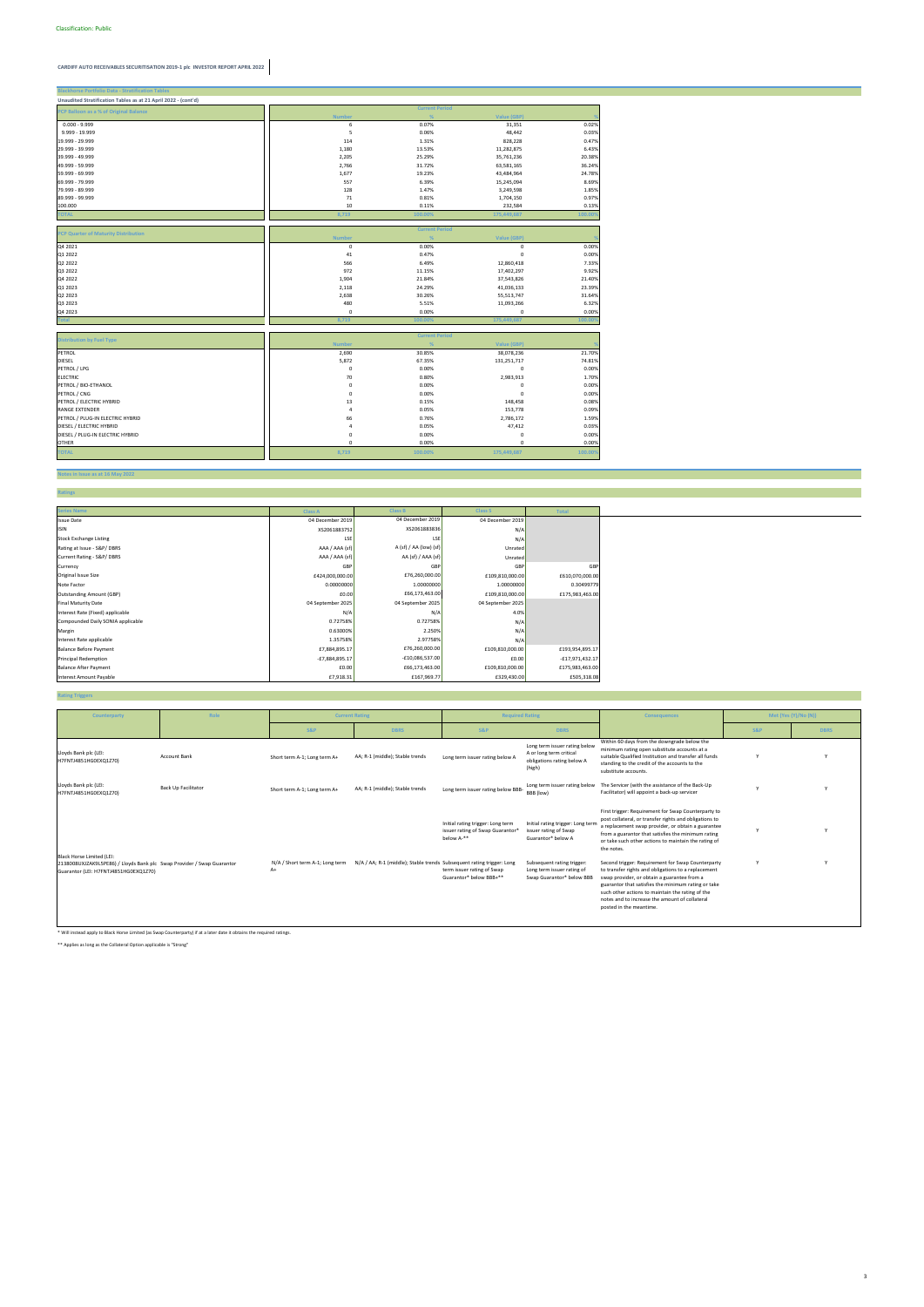#### **Notes in Issue as at 16 May 2022**

**Ratings**

| <b>Blackhorse Portfolio Data - Stratification Tables</b>       |                |                       |                          |                |
|----------------------------------------------------------------|----------------|-----------------------|--------------------------|----------------|
| Unaudited Stratification Tables as at 21 April 2022 - (cont'd) |                |                       |                          |                |
| PCP Balloon as a % of Original Balance                         |                | <b>Current Period</b> |                          |                |
|                                                                | <b>Number</b>  | %                     | <b>Value (GBP)</b>       |                |
| $0.000 - 9.999$                                                | 6              | 0.07%                 | 31,351                   | 0.02%          |
| 9.999 - 19.999                                                 | 5              | 0.06%                 | 48,442                   | 0.03%          |
| 19.999 - 29.999                                                | 114            | 1.31%                 | 828,228                  | 0.47%          |
| 29.999 - 39.999                                                | 1,180          | 13.53%                | 11,282,875               | 6.43%          |
| 39.999 - 49.999                                                | 2,205          | 25.29%                | 35,761,236               | 20.38%         |
| 49.999 - 59.999                                                | 2,766          | 31.72%                | 63,581,165               | 36.24%         |
| 59.999 - 69.999                                                | 1,677          | 19.23%                | 43,484,964               | 24.78%         |
| 69.999 - 79.999                                                | 557            | 6.39%                 | 15,245,094               | 8.69%          |
| 79.999 - 89.999                                                | 128            | 1.47%                 | 3,249,598                | 1.85%          |
| 89.999 - 99.999                                                | 71             | 0.81%                 | 1,704,150                | 0.97%          |
| 100.000                                                        | 10             | 0.11%                 | 232,584                  | 0.13%          |
| <b>TOTAL</b>                                                   | 8,719          | 100.00%               | 175,449,687              | 100.00%        |
|                                                                |                |                       |                          |                |
| PCP Quarter of Maturity Distribution                           |                | <b>Current Period</b> |                          |                |
|                                                                | <b>Number</b>  | %                     | <b>Value (GBP)</b>       |                |
| Q4 2021                                                        | $\pmb{0}$      | 0.00%                 | 0                        | 0.00%          |
| Q1 2022                                                        | 41             | 0.47%                 | 0                        | 0.00%          |
| Q2 2022                                                        | 566<br>972     | 6.49%                 | 12,860,418               | 7.33%<br>9.92% |
| Q3 2022<br>Q4 2022                                             | 1,904          | 11.15%<br>21.84%      | 17,402,297               | 21.40%         |
| Q1 2023                                                        | 2,118          | 24.29%                | 37,543,826<br>41,036,133 | 23.39%         |
| Q2 2023                                                        | 2,638          | 30.26%                | 55,513,747               | 31.64%         |
| Q3 2023                                                        | 480            | 5.51%                 |                          | 6.32%          |
| Q4 2023                                                        | $\mathbf 0$    | 0.00%                 | 11,093,266<br>0          | 0.00%          |
| <b>Total</b>                                                   | 8,719          | 100.00%               | 175,449,687              | 100.00%        |
|                                                                |                |                       |                          |                |
|                                                                |                | <b>Current Period</b> |                          |                |
| <b>Distribution by Fuel Type</b>                               | <b>Number</b>  |                       | Value (GBP)              |                |
| PETROL                                                         | 2,690          | 30.85%                | 38,078,236               | 21.70%         |
| DIESEL                                                         | 5,872          | 67.35%                | 131,251,717              | 74.81%         |
| PETROL / LPG                                                   | $\mathbf 0$    | 0.00%                 | 0                        | 0.00%          |
| <b>ELECTRIC</b>                                                | 70             | 0.80%                 | 2,983,913                | 1.70%          |
| PETROL / BIO-ETHANOL                                           | $\mathbf 0$    | 0.00%                 | 0                        | 0.00%          |
| PETROL / CNG                                                   | 0              | 0.00%                 | $\Omega$                 | 0.00%          |
| PETROL / ELECTRIC HYBRID                                       | 13             | 0.15%                 | 148,458                  | 0.08%          |
| <b>RANGE EXTENDER</b>                                          | $\overline{4}$ | 0.05%                 | 153,778                  | 0.09%          |
| PETROL / PLUG-IN ELECTRIC HYBRID                               | 66             | 0.76%                 | 2,786,172                | 1.59%          |
| DIESEL / ELECTRIC HYBRID                                       | $\overline{4}$ | 0.05%                 | 47,412                   | 0.03%          |
| DIESEL / PLUG-IN ELECTRIC HYBRID                               | $\mathbf 0$    | 0.00%                 | 0                        | 0.00%          |
| <b>OTHER</b>                                                   | $\mathbf 0$    | 0.00%                 | 0                        | 0.00%          |
| <b>TOTAL</b>                                                   | 8,719          | 100.00%               | 175,449,687              | 100.00%        |

#### **Rating Triggers**

| <b>Series Name</b>                | <b>Class A</b>    | <b>Class B</b>         | <b>Class S</b>    | <b>Total</b>      |
|-----------------------------------|-------------------|------------------------|-------------------|-------------------|
| <b>Issue Date</b>                 | 04 December 2019  | 04 December 2019       | 04 December 2019  |                   |
| <b>ISIN</b>                       | XS2061883752      | XS2061883836           | N/A               |                   |
| <b>Stock Exchange Listing</b>     | LSE               | LSE                    | N/A               |                   |
| Rating at Issue - S&P/DBRS        | AAA / AAA (sf)    | A (sf) / AA (low) (sf) | Unrated           |                   |
| Current Rating - S&P/DBRS         | AAA / AAA (sf)    | AA (sf) / AAA (sf)     | Unrated           |                   |
| Currency                          | GBP               | GBF                    | GBP               | GBP               |
| Original Issue Size               | £424,000,000.00   | £76,260,000.00         | £109,810,000.00   | £610,070,000.00   |
| Note Factor                       | 0.00000000        | 1.00000000             | 1.00000000        | 0.30499779        |
| <b>Outstanding Amount (GBP)</b>   | £0.00             | £66,173,463.00         | £109,810,000.00   | £175,983,463.00   |
| <b>Final Maturity Date</b>        | 04 September 2025 | 04 September 2025      | 04 September 2025 |                   |
| Interest Rate (Fixed) applicable  | N/A               | N/A                    | 4.0%              |                   |
| Compounded Daily SONIA applicable | 0.72758%          | 0.72758%               | N/A               |                   |
| Margin                            | 0.63000%          | 2.250%                 | N/A               |                   |
| Interest Rate applicable          | 1.35758%          | 2.97758%               | N/A               |                   |
| <b>Balance Before Payment</b>     | £7,884,895.17     | £76,260,000.00         | £109,810,000.00   | £193,954,895.17   |
| <b>Principal Redemption</b>       | -£7,884,895.17    | $-£10,086,537.00$      | £0.00             | $-£17,971,432.17$ |
| <b>Balance After Payment</b>      | £0.00             | £66,173,463.00         | £109,810,000.00   | £175,983,463.00   |
| <b>Interest Amount Payable</b>    | £7,918.31         | £167,969.77            | £329,430.00       | £505,318.08       |

\* Will instead apply to Black Horse Limited (as Swap Counterparty) if at a later date it obtains the required ratings.

\*\* Applies as long as the Collateral Option applicable is "Strong"

| Counterparty                                                                                                                                 | Role                | <b>Current Rating</b>                   |                                                                       | <b>Required Rating</b>                                                              |                                                                                                  | <b>Consequences</b>                                                                                                                                                                                                                                                                                                                             |     | Met (Yes (Y)/No (N)) |
|----------------------------------------------------------------------------------------------------------------------------------------------|---------------------|-----------------------------------------|-----------------------------------------------------------------------|-------------------------------------------------------------------------------------|--------------------------------------------------------------------------------------------------|-------------------------------------------------------------------------------------------------------------------------------------------------------------------------------------------------------------------------------------------------------------------------------------------------------------------------------------------------|-----|----------------------|
|                                                                                                                                              |                     | S&P                                     | <b>DBRS</b>                                                           | S&P                                                                                 | <b>DBRS</b>                                                                                      |                                                                                                                                                                                                                                                                                                                                                 | S&P | <b>DBRS</b>          |
| Lloyds Bank plc (LEI:<br>H7FNTJ4851HG0EXQ1Z70)                                                                                               | <b>Account Bank</b> | Short term A-1; Long term A+            | AA; R-1 (middle); Stable trends                                       | Long term issuer rating below A                                                     | Long term issuer rating below<br>A or long term critical<br>obligations rating below A<br>(high) | Within 60 days from the downgrade below the<br>minimum rating open substitute accounts at a<br>suitable Qualified Institution and transfer all funds<br>standing to the credit of the accounts to the<br>substitute accounts.                                                                                                                   |     |                      |
| Lloyds Bank plc (LEI:<br>H7FNTJ4851HG0EXQ1Z70)                                                                                               | Back Up Facilitator | Short term A-1; Long term A+            | AA; R-1 (middle); Stable trends                                       | Long term issuer rating below BBB-                                                  | Long term issuer rating below<br>BBB (low)                                                       | The Servicer (with the assistance of the Back-Up<br>Facilitator) will appoint a back-up servicer                                                                                                                                                                                                                                                |     |                      |
|                                                                                                                                              |                     |                                         |                                                                       | Initial rating trigger: Long term<br>issuer rating of Swap Guarantor*<br>below A-** | Initial rating trigger: Long term<br>issuer rating of Swap<br>Guarantor* below A                 | First trigger: Requirement for Swap Counterparty to<br>post collateral, or transfer rights and obligations to<br>a replacement swap provider, or obtain a guarantee<br>from a guarantor that satisfies the minimum rating<br>or take such other actions to maintain the rating of<br>the notes.                                                 |     |                      |
| Black Horse Limited (LEI:<br>2138008UXJZAK9L5PE86) / Lloyds Bank plc Swap Provider / Swap Guarantor<br>Guarantor (LEI: H7FNTJ4851HG0EXQ1Z70) |                     | N/A / Short term A-1; Long term<br>$A+$ | N/A / AA; R-1 (middle); Stable trends Subsequent rating trigger: Long | term issuer rating of Swap<br>Guarantor* below BBB+**                               | Subsequent rating trigger:<br>Long term issuer rating of<br>Swap Guarantor* below BBB            | Second trigger: Requirement for Swap Counterparty<br>to transfer rights and obligations to a replacement<br>swap provider, or obtain a guarantee from a<br>guarantor that satisfies the minimum rating or take<br>such other actions to maintain the rating of the<br>notes and to increase the amount of collateral<br>posted in the meantime. |     |                      |

3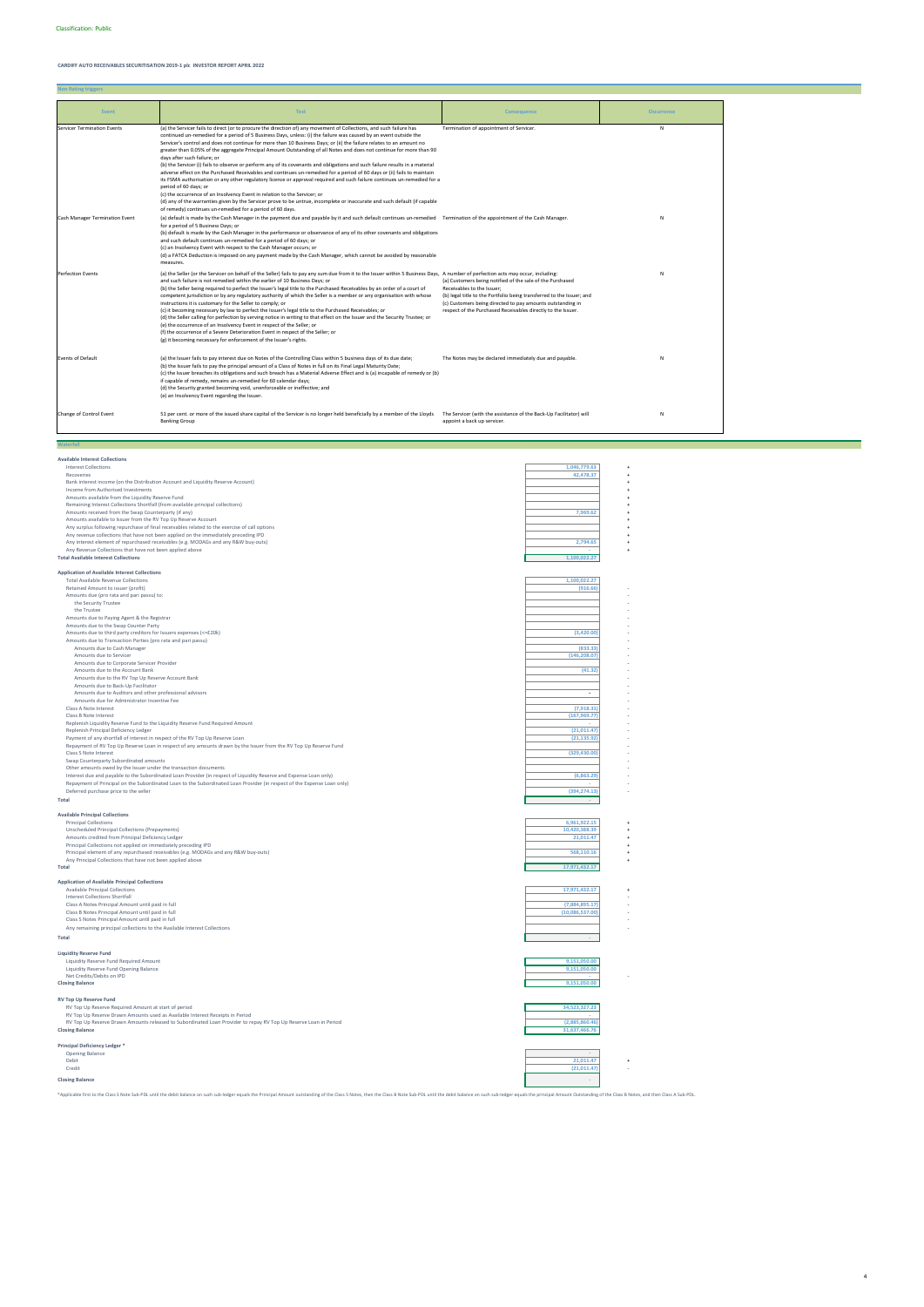**Non Rating triggers**

**Available Interest Collections**

| <b>Interest Collections</b><br>Recoveries                                                                                                                                 | 1,046,779.63<br>42,478.37         |
|---------------------------------------------------------------------------------------------------------------------------------------------------------------------------|-----------------------------------|
| Bank interest income (on the Distribution Account and Liquidity Reserve Account)                                                                                          |                                   |
| Income from Authorised Investments<br>Amounts available from the Liquidity Reserve Fund                                                                                   |                                   |
| Remaining Interest Collections Shortfall (from available principal collections)                                                                                           |                                   |
| Amounts received from the Swap Counterparty (if any)                                                                                                                      | 7,969.62                          |
| Amounts available to Issuer from the RV Top Up Reserve Account                                                                                                            |                                   |
| Any surplus following repurchase of final receivables related to the exercise of call options                                                                             |                                   |
| Any revenue collections that have not been applied on the immediately preceding IPD<br>Any interest element of repurchased receivables (e.g. MODAGs and any R&W buy-outs) | 2,794.65                          |
| Any Revenue Collections that have not been applied above                                                                                                                  |                                   |
| <b>Total Available Interest Collections</b>                                                                                                                               | 1,100,022.27                      |
|                                                                                                                                                                           |                                   |
| <b>Application of Available Interest Collections</b>                                                                                                                      |                                   |
| <b>Total Available Revenue Collections</b>                                                                                                                                | 1,100,022.27                      |
| Retained Amount to issuer (profit)<br>Amounts due (pro rata and pari passu) to:                                                                                           | (916.66)                          |
| the Security Trustee                                                                                                                                                      |                                   |
| the Trustee                                                                                                                                                               |                                   |
| Amounts due to Paying Agent & the Registrar                                                                                                                               |                                   |
| Amounts due to the Swap Counter Party                                                                                                                                     |                                   |
| Amounts due to third party creditors for Issuers expenses (<=£20k)                                                                                                        | (3,420.00)                        |
| Amounts due to Transaction Parties (pro rata and pari passu)<br>Amounts due to Cash Manager                                                                               | (833.33)                          |
| Amounts due to Servicer                                                                                                                                                   | (146, 208.07)                     |
| Amounts due to Corporate Servicer Provider                                                                                                                                |                                   |
| Amounts due to the Account Bank                                                                                                                                           | (41.32)                           |
| Amounts due to the RV Top Up Reserve Account Bank                                                                                                                         |                                   |
| Amounts due to Back-Up Facilitator                                                                                                                                        |                                   |
| Amounts due to Auditors and other professional advisors                                                                                                                   |                                   |
| Amounts due for Administrator Incentive Fee<br>Class A Note Interest                                                                                                      | (7,918.31)                        |
| Class B Note Interest                                                                                                                                                     | (167, 969.77)                     |
| Replenish Liquidity Reserve Fund to the Liquidity Reserve Fund Required Amount                                                                                            |                                   |
| Replenish Principal Deficiency Ledger                                                                                                                                     | (21, 011.47)                      |
| Payment of any shortfall of interest in respect of the RV Top Up Reserve Loan                                                                                             | (21, 135.92)                      |
| Repayment of RV Top Up Reserve Loan in respect of any amounts drawn by the Issuer from the RV Top Up Reserve Fund                                                         |                                   |
| Class S Note Interest<br>Swap Counterparty Subordinated amounts                                                                                                           | (329, 430.00)                     |
| Other amounts owed by the Issuer under the transaction documents                                                                                                          |                                   |
| Interest due and payable to the Subordinated Loan Provider (in respect of Liquidity Reserve and Expense Loan only)                                                        | (6,863.29)                        |
| Repayment of Principal on the Subordinated Loan to the Subordinated Loan Provider (in respect of the Expense Loan only)                                                   |                                   |
| Deferred purchase price to the seller                                                                                                                                     | (394, 274.13)                     |
| <b>Total</b>                                                                                                                                                              |                                   |
| <b>Available Principal Collections</b>                                                                                                                                    |                                   |
| <b>Principal Collections</b>                                                                                                                                              | 6,961,922.15                      |
| Unscheduled Principal Collections (Prepayments)                                                                                                                           | 10.420.388.39                     |
| Amounts credited from Principal Deficiency Ledger                                                                                                                         | 21,011.47                         |
| Principal Collections not applied on immediately preceding IPD                                                                                                            |                                   |
| Principal element of any repurchased receivables (e.g. MODAGs and any R&W buy-outs)                                                                                       | 568,110.16                        |
| Any Principal Collections that have not been applied above<br><b>Total</b>                                                                                                | 17.971.432.17                     |
|                                                                                                                                                                           |                                   |
| <b>Application of Available Principal Collections</b>                                                                                                                     |                                   |
| <b>Available Principal Collections</b>                                                                                                                                    | 17,971,432.17                     |
| Interest Collections Shortfall                                                                                                                                            |                                   |
| Class A Notes Principal Amount until paid in full<br>Class B Notes Principal Amount until paid in full                                                                    | (7,884,895.17)<br>(10,086,537.00) |
| Class S Notes Principal Amount until paid in full                                                                                                                         |                                   |
| Any remaining principal collections to the Available Interest Collections                                                                                                 |                                   |
| <b>Total</b>                                                                                                                                                              |                                   |
|                                                                                                                                                                           |                                   |

**Liquidity Reserve Fund**<br>
Liquidity Reserve Fund Required Amount<br>
Liquidity Reserve Fund Opening Balance<br> **Closing Balance** 9,151,050.00<br> **Closing Balance** 9,151,050.00

## **RV Top Up Reserve Fund**

| RV Top Up Reserve Required Amount at start of period                                                             | 34,523,327.23  |  |
|------------------------------------------------------------------------------------------------------------------|----------------|--|
| RV Top Up Reserve Drawn Amounts used as Available Interest Receipts in Period                                    |                |  |
| RV Top Up Reserve Drawn Amounts released to Subordinated Loan Provider to repay RV Top Up Reserve Loan in Period | (2,885,860.46) |  |
| <b>Closing Balance</b>                                                                                           | 31,637,466.76  |  |
| Principal Deficiency Ledger <sup>*</sup>                                                                         |                |  |
|                                                                                                                  |                |  |
| <b>Opening Balance</b>                                                                                           |                |  |
| Debit                                                                                                            | 21,011.47      |  |
| Credit                                                                                                           | (21,011.47)    |  |
| <b>Closing Balance</b>                                                                                           |                |  |

\*Applicable first to the Class S Note Sub-PDL until the debit balance on such sub-ledger equals the Principal Amount outstanding of the Class S Notes, then the Class B Note Sub-PDL until the debit balance on such sub-ledge

| Event                              | <b>Test</b>                                                                                                                                                                                                                                                                                                                                                                                                                                                                                                                                                                                                                                                                                                                                                                                                                                                                                                                                                                                                                                                                                                                                                                                                    | <b>Consequence</b>                                                                                                                                                                                                                                                                             | <b>Occurrence</b> |
|------------------------------------|----------------------------------------------------------------------------------------------------------------------------------------------------------------------------------------------------------------------------------------------------------------------------------------------------------------------------------------------------------------------------------------------------------------------------------------------------------------------------------------------------------------------------------------------------------------------------------------------------------------------------------------------------------------------------------------------------------------------------------------------------------------------------------------------------------------------------------------------------------------------------------------------------------------------------------------------------------------------------------------------------------------------------------------------------------------------------------------------------------------------------------------------------------------------------------------------------------------|------------------------------------------------------------------------------------------------------------------------------------------------------------------------------------------------------------------------------------------------------------------------------------------------|-------------------|
| <b>Servicer Termination Events</b> | (a) the Servicer fails to direct (or to procure the direction of) any movement of Collections, and such failure has<br>continued un-remedied for a period of 5 Business Days, unless: (i) the failure was caused by an event outside the<br>Servicer's control and does not continue for more than 10 Business Days; or (ii) the failure relates to an amount no<br>greater than 0.05% of the aggregate Principal Amount Outstanding of all Notes and does not continue for more than 90<br>days after such failure; or<br>(b) the Servicer (i) fails to observe or perform any of its covenants and obligations and such failure results in a material<br>adverse effect on the Purchased Receivables and continues un-remedied for a period of 60 days or (ii) fails to maintain<br>its FSMA authorisation or any other regulatory licence or approval required and such failure continues un-remedied for a<br>period of 60 days; or<br>(c) the occurrence of an Insolvency Event in relation to the Servicer; or<br>(d) any of the warranties given by the Servicer prove to be untrue, incomplete or inaccurate and such default (if capable<br>of remedy) continues un-remedied for a period of 60 days. | Termination of appointment of Servicer.                                                                                                                                                                                                                                                        | $\mathsf{N}$      |
| Cash Manager Termination Event     | (a) default is made by the Cash Manager in the payment due and payable by it and such default continues un-remedied Termination of the appointment of the Cash Manager.<br>for a period of 5 Business Days; or<br>(b) default is made by the Cash Manager in the performance or observance of any of its other covenants and obligations<br>and such default continues un-remedied for a period of 60 days; or<br>(c) an Insolvency Event with respect to the Cash Manager occurs; or<br>(d) a FATCA Deduction is imposed on any payment made by the Cash Manager, which cannot be avoided by reasonable<br>measures.                                                                                                                                                                                                                                                                                                                                                                                                                                                                                                                                                                                          |                                                                                                                                                                                                                                                                                                | N                 |
| <b>Perfection Events</b>           | (a) the Seller (or the Servicer on behalf of the Seller) fails to pay any sum due from it to the Issuer within 5 Business Days, A number of perfection acts may occur, including:<br>and such failure is not remedied within the earlier of 10 Business Days; or<br>(b) the Seller being required to perfect the Issuer's legal title to the Purchased Receivables by an order of a court of<br>competent jurisdiction or by any regulatory authority of which the Seller is a member or any organisation with whose<br>instructions it is customary for the Seller to comply; or<br>(c) it becoming necessary by law to perfect the Issuer's legal title to the Purchased Receivables; or<br>(d) the Seller calling for perfection by serving notice in writing to that effect on the Issuer and the Security Trustee; or<br>(e) the occurrence of an Insolvency Event in respect of the Seller; or<br>(f) the occurrence of a Severe Deterioration Event in respect of the Seller; or<br>(g) it becoming necessary for enforcement of the Issuer's rights.                                                                                                                                                   | (a) Customers being notified of the sale of the Purchased<br>Receivables to the Issuer;<br>(b) legal title to the Portfolio being transferred to the Issuer; and<br>(c) Customers being directed to pay amounts outstanding in<br>respect of the Purchased Receivables directly to the Issuer. | N                 |
| <b>Events of Default</b>           | (a) the Issuer fails to pay interest due on Notes of the Controlling Class within 5 business days of its due date;<br>(b) the Issuer fails to pay the principal amount of a Class of Notes in full on its Final Legal Maturity Date;<br>(c) the Issuer breaches its obligations and such breach has a Material Adverse Effect and is (a) incapable of remedy or (b)<br>if capable of remedy, remains un-remedied for 60 calendar days;<br>(d) the Security granted becoming void, unenforceable or ineffective; and<br>(e) an Insolvency Event regarding the Issuer.                                                                                                                                                                                                                                                                                                                                                                                                                                                                                                                                                                                                                                           | The Notes may be declared immediately due and payable.                                                                                                                                                                                                                                         | N                 |
| Change of Control Event            | 51 per cent. or more of the issued share capital of the Servicer is no longer held beneficially by a member of the Lloyds<br><b>Banking Group</b>                                                                                                                                                                                                                                                                                                                                                                                                                                                                                                                                                                                                                                                                                                                                                                                                                                                                                                                                                                                                                                                              | The Servicer (with the assistance of the Back-Up Facilitator) will<br>appoint a back up servicer.                                                                                                                                                                                              | N                 |